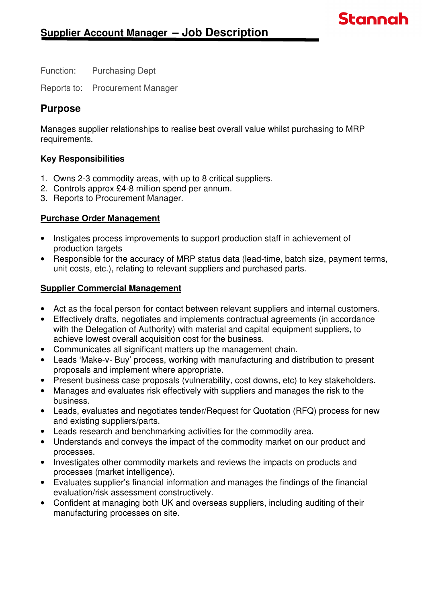Function: Purchasing Dept

Reports to: Procurement Manager

# **Purpose**

Manages supplier relationships to realise best overall value whilst purchasing to MRP requirements.

**Stannah** 

## **Key Responsibilities**

- 1. Owns 2-3 commodity areas, with up to 8 critical suppliers.
- 2. Controls approx £4-8 million spend per annum.
- 3. Reports to Procurement Manager.

## **Purchase Order Management**

- Instigates process improvements to support production staff in achievement of production targets
- Responsible for the accuracy of MRP status data (lead-time, batch size, payment terms, unit costs, etc.), relating to relevant suppliers and purchased parts.

## **Supplier Commercial Management**

- Act as the focal person for contact between relevant suppliers and internal customers.
- Effectively drafts, negotiates and implements contractual agreements (in accordance with the Delegation of Authority) with material and capital equipment suppliers, to achieve lowest overall acquisition cost for the business.
- Communicates all significant matters up the management chain.
- Leads 'Make-v- Buy' process, working with manufacturing and distribution to present proposals and implement where appropriate.
- Present business case proposals (vulnerability, cost downs, etc) to key stakeholders.
- Manages and evaluates risk effectively with suppliers and manages the risk to the business.
- Leads, evaluates and negotiates tender/Request for Quotation (RFQ) process for new and existing suppliers/parts.
- Leads research and benchmarking activities for the commodity area.
- Understands and conveys the impact of the commodity market on our product and processes.
- Investigates other commodity markets and reviews the impacts on products and processes (market intelligence).
- Evaluates supplier's financial information and manages the findings of the financial evaluation/risk assessment constructively.
- Confident at managing both UK and overseas suppliers, including auditing of their manufacturing processes on site.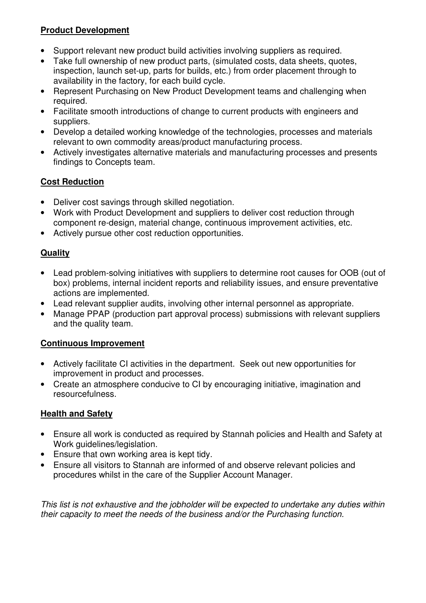## **Product Development**

- Support relevant new product build activities involving suppliers as required.
- Take full ownership of new product parts, (simulated costs, data sheets, quotes, inspection, launch set-up, parts for builds, etc.) from order placement through to availability in the factory, for each build cycle.
- Represent Purchasing on New Product Development teams and challenging when required.
- Facilitate smooth introductions of change to current products with engineers and suppliers.
- Develop a detailed working knowledge of the technologies, processes and materials relevant to own commodity areas/product manufacturing process.
- Actively investigates alternative materials and manufacturing processes and presents findings to Concepts team.

# **Cost Reduction**

- Deliver cost savings through skilled negotiation.
- Work with Product Development and suppliers to deliver cost reduction through component re-design, material change, continuous improvement activities, etc.
- Actively pursue other cost reduction opportunities.

## **Quality**

- Lead problem-solving initiatives with suppliers to determine root causes for OOB (out of box) problems, internal incident reports and reliability issues, and ensure preventative actions are implemented.
- Lead relevant supplier audits, involving other internal personnel as appropriate.
- Manage PPAP (production part approval process) submissions with relevant suppliers and the quality team.

## **Continuous Improvement**

- Actively facilitate CI activities in the department. Seek out new opportunities for improvement in product and processes.
- Create an atmosphere conducive to CI by encouraging initiative, imagination and resourcefulness.

## **Health and Safety**

- Ensure all work is conducted as required by Stannah policies and Health and Safety at Work guidelines/legislation.
- Ensure that own working area is kept tidy.
- Ensure all visitors to Stannah are informed of and observe relevant policies and procedures whilst in the care of the Supplier Account Manager.

This list is not exhaustive and the jobholder will be expected to undertake any duties within their capacity to meet the needs of the business and/or the Purchasing function.